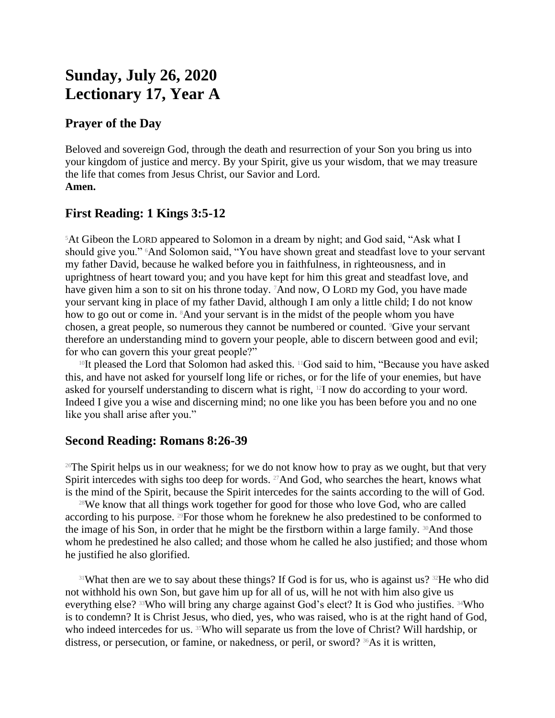# **Sunday, July 26, 2020 Lectionary 17, Year A**

## **Prayer of the Day**

Beloved and sovereign God, through the death and resurrection of your Son you bring us into your kingdom of justice and mercy. By your Spirit, give us your wisdom, that we may treasure the life that comes from Jesus Christ, our Savior and Lord. **Amen.**

## **First Reading: 1 Kings 3:5-12**

<sup>5</sup>At Gibeon the LORD appeared to Solomon in a dream by night; and God said, "Ask what I should give you." <sup>6</sup>And Solomon said, "You have shown great and steadfast love to your servant my father David, because he walked before you in faithfulness, in righteousness, and in uprightness of heart toward you; and you have kept for him this great and steadfast love, and have given him a son to sit on his throne today. <sup>7</sup>And now, O LORD my God, you have made your servant king in place of my father David, although I am only a little child; I do not know how to go out or come in. <sup>8</sup>And your servant is in the midst of the people whom you have chosen, a great people, so numerous they cannot be numbered or counted. 9Give your servant therefore an understanding mind to govern your people, able to discern between good and evil; for who can govern this your great people?"

 $10$ It pleased the Lord that Solomon had asked this.  $11$ God said to him, "Because you have asked this, and have not asked for yourself long life or riches, or for the life of your enemies, but have asked for yourself understanding to discern what is right, 12I now do according to your word. Indeed I give you a wise and discerning mind; no one like you has been before you and no one like you shall arise after you."

### **Second Reading: Romans 8:26-39**

<sup>26</sup>The Spirit helps us in our weakness; for we do not know how to pray as we ought, but that very Spirit intercedes with sighs too deep for words.  $^{27}$ And God, who searches the heart, knows what is the mind of the Spirit, because the Spirit intercedes for the saints according to the will of God.

<sup>28</sup>We know that all things work together for good for those who love God, who are called according to his purpose. 29For those whom he foreknew he also predestined to be conformed to the image of his Son, in order that he might be the firstborn within a large family.  $30$ And those whom he predestined he also called; and those whom he called he also justified; and those whom he justified he also glorified.

<sup>31</sup>What then are we to say about these things? If God is for us, who is against us?  $32$ He who did not withhold his own Son, but gave him up for all of us, will he not with him also give us everything else? 33Who will bring any charge against God's elect? It is God who justifies. 34Who is to condemn? It is Christ Jesus, who died, yes, who was raised, who is at the right hand of God, who indeed intercedes for us. <sup>35</sup>Who will separate us from the love of Christ? Will hardship, or distress, or persecution, or famine, or nakedness, or peril, or sword? <sup>36</sup>As it is written,